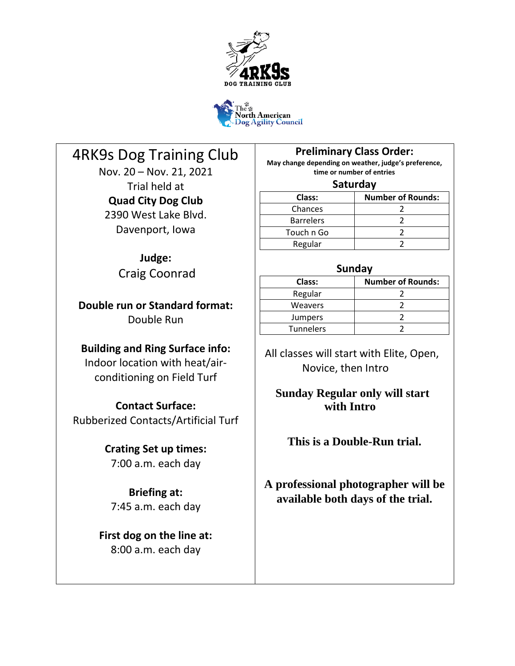



# 4RK9s Dog Training Club

Nov. 20 – Nov. 21, 2021 Trial held at **Quad City Dog Club** 2390 West Lake Blvd. Davenport, Iowa

# **Judge:**

Craig Coonrad

**Double run or Standard format:** Double Run

# **Building and Ring Surface info:**

Indoor location with heat/airconditioning on Field Turf

**Contact Surface:** Rubberized Contacts/Artificial Turf

# **Crating Set up times:**

7:00 a.m. each day

**Briefing at:** 7:45 a.m. each day

**First dog on the line at:** 8:00 a.m. each day

**Preliminary Class Order:**

**May change depending on weather, judge's preference, time or number of entries**

# **Saturday**

| Class:           | <b>Number of Rounds:</b> |
|------------------|--------------------------|
| Chances          |                          |
| <b>Barrelers</b> |                          |
| Touch n Go       |                          |
| Regular          |                          |

# **Sunday**

| Class:           | <b>Number of Rounds:</b> |  |  |  |
|------------------|--------------------------|--|--|--|
| Regular          |                          |  |  |  |
| <b>Weavers</b>   |                          |  |  |  |
| Jumpers          |                          |  |  |  |
| <b>Tunnelers</b> |                          |  |  |  |
|                  |                          |  |  |  |

 All classes will start with Elite, Open, Novice, then Intro

# **Sunday Regular only will start with Intro**

# **This is a Double-Run trial.**

**A professional photographer will be available both days of the trial.**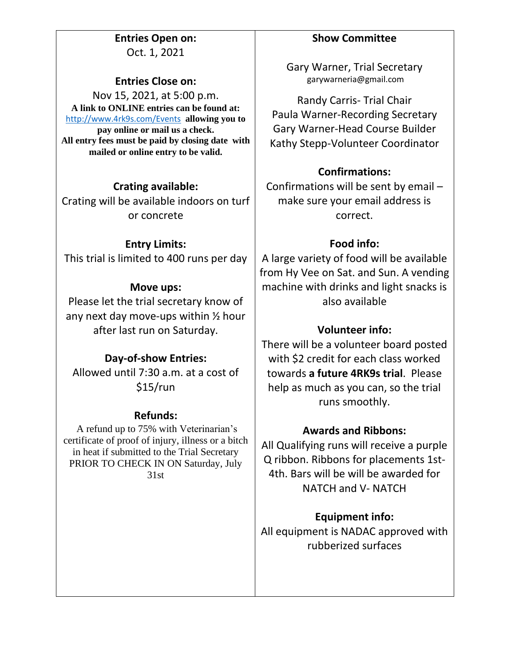**Entries Open on:** Oct. 1, 2021

# **Entries Close on:**

Nov 15, 2021, at 5:00 p.m. **A link to ONLINE entries can be found at:** <http://www.4rk9s.com/Events> **allowing you to pay online or mail us a check. All entry fees must be paid by closing date with mailed or online entry to be valid.** 

# **Crating available:**

Crating will be available indoors on turf or concrete

### **Entry Limits:**

This trial is limited to 400 runs per day

# **Move ups:**

Please let the trial secretary know of any next day move-ups within ½ hour after last run on Saturday.

### **Day-of-show Entries:**

Allowed until 7:30 a.m. at a cost of \$15/run

### **Refunds:**

A refund up to 75% with Veterinarian's certificate of proof of injury, illness or a bitch in heat if submitted to the Trial Secretary PRIOR TO CHECK IN ON Saturday, July 31st

# **Show Committee**

Gary Warner, Trial Secretary garywarneria@gmail.com

Randy Carris- Trial Chair Paula Warner-Recording Secretary Gary Warner-Head Course Builder Kathy Stepp-Volunteer Coordinator

# **Confirmations:**

Confirmations will be sent by email – make sure your email address is correct.

# **Food info:**

A large variety of food will be available from Hy Vee on Sat. and Sun. A vending machine with drinks and light snacks is also available

# **Volunteer info:**

There will be a volunteer board posted with \$2 credit for each class worked towards **a future 4RK9s trial**. Please help as much as you can, so the trial runs smoothly.

# **Awards and Ribbons:**

All Qualifying runs will receive a purple Q ribbon. Ribbons for placements 1st-4th. Bars will be will be awarded for NATCH and V- NATCH

**Equipment info:** All equipment is NADAC approved with rubberized surfaces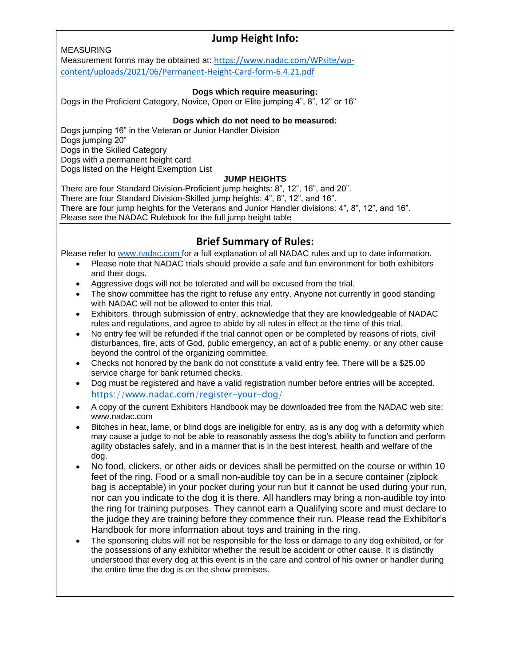# **Jump Height Info:**

#### MEASURING

Measurement forms may be obtained at: [https://www.nadac.com/WPsite/wp](https://www.nadac.com/WPsite/wp-content/uploads/2021/06/Permanent-Height-Card-form-6.4.21.pdf)[content/uploads/2021/06/Permanent-Height-Card-form-6.4.21.pdf](https://www.nadac.com/WPsite/wp-content/uploads/2021/06/Permanent-Height-Card-form-6.4.21.pdf)

#### **Dogs which require measuring:**

Dogs in the Proficient Category, Novice, Open or Elite jumping 4", 8", 12" or 16"

#### **Dogs which do not need to be measured:**

Dogs jumping 16" in the Veteran or Junior Handler Division Dogs jumping 20" Dogs in the Skilled Category Dogs with a permanent height card Dogs listed on the Height Exemption List

#### **JUMP HEIGHTS**

There are four Standard Division-Proficient jump heights: 8", 12", 16", and 20". There are four Standard Division-Skilled jump heights: 4", 8", 12", and 16". There are four jump heights for the Veterans and Junior Handler divisions: 4", 8", 12", and 16". Please see the NADAC Rulebook for the full jump height table

# **Brief Summary of Rules:**

Please refer to [www.nadac.com](http://www.nadac.com/) for a full explanation of all NADAC rules and up to date information.

- Please note that NADAC trials should provide a safe and fun environment for both exhibitors and their dogs.
- Aggressive dogs will not be tolerated and will be excused from the trial.
- The show committee has the right to refuse any entry. Anyone not currently in good standing with NADAC will not be allowed to enter this trial.
- Exhibitors, through submission of entry, acknowledge that they are knowledgeable of NADAC rules and regulations, and agree to abide by all rules in effect at the time of this trial.
- No entry fee will be refunded if the trial cannot open or be completed by reasons of riots, civil disturbances, fire, acts of God, public emergency, an act of a public enemy, or any other cause beyond the control of the organizing committee.
- Checks not honored by the bank do not constitute a valid entry fee. There will be a \$25.00 service charge for bank returned checks.
- Dog must be registered and have a valid registration number before entries will be accepted. <https://www.nadac.com/register-your-dog/>
- A copy of the current Exhibitors Handbook may be downloaded free from the NADAC web site: www.nadac.com
- Bitches in heat, lame, or blind dogs are ineligible for entry, as is any dog with a deformity which may cause a judge to not be able to reasonably assess the dog's ability to function and perform agility obstacles safely, and in a manner that is in the best interest, health and welfare of the dog.
- No food, clickers, or other aids or devices shall be permitted on the course or within 10 feet of the ring. Food or a small non-audible toy can be in a secure container (ziplock bag is acceptable) in your pocket during your run but it cannot be used during your run, nor can you indicate to the dog it is there. All handlers may bring a non-audible toy into the ring for training purposes. They cannot earn a Qualifying score and must declare to the judge they are training before they commence their run. Please read the Exhibitor's Handbook for more information about toys and training in the ring.
- The sponsoring clubs will not be responsible for the loss or damage to any dog exhibited, or for the possessions of any exhibitor whether the result be accident or other cause. It is distinctly understood that every dog at this event is in the care and control of his owner or handler during the entire time the dog is on the show premises.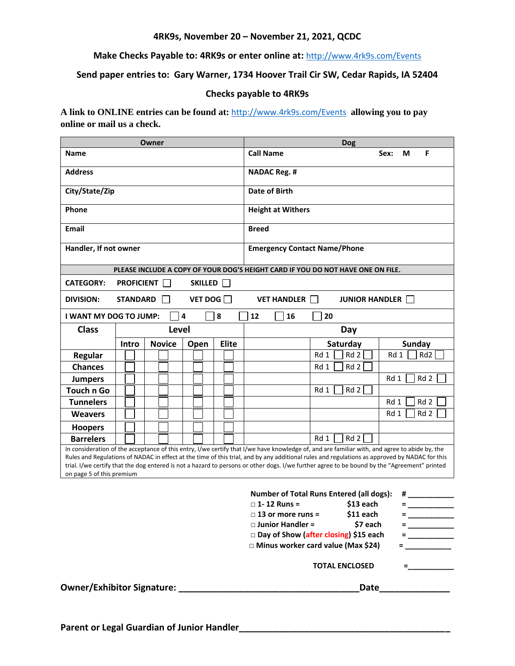#### **4RK9s, November 20 – November 21, 2021, QCDC**

**Make Checks Payable to: 4RK9s or enter online at:** <http://www.4rk9s.com/Events>

#### **Send paper entries to: Gary Warner, 1734 Hoover Trail Cir SW, Cedar Rapids, IA 52404**

#### **Checks payable to 4RK9s**

**A link to ONLINE entries can be found at:** <http://www.4rk9s.com/Events> **allowing you to pay online or mail us a check.**

| Owner                                                                                                                                                                                                                                                                                                                                                                                                                                                                       |              |                                     |                          | <b>Dog</b>   |                     |                         |                         |  |
|-----------------------------------------------------------------------------------------------------------------------------------------------------------------------------------------------------------------------------------------------------------------------------------------------------------------------------------------------------------------------------------------------------------------------------------------------------------------------------|--------------|-------------------------------------|--------------------------|--------------|---------------------|-------------------------|-------------------------|--|
| <b>Name</b>                                                                                                                                                                                                                                                                                                                                                                                                                                                                 |              |                                     |                          |              | <b>Call Name</b>    |                         | F<br>Sex:<br>M          |  |
| <b>Address</b>                                                                                                                                                                                                                                                                                                                                                                                                                                                              |              |                                     |                          |              | <b>NADAC Reg. #</b> |                         |                         |  |
| City/State/Zip                                                                                                                                                                                                                                                                                                                                                                                                                                                              |              | Date of Birth                       |                          |              |                     |                         |                         |  |
| Phone                                                                                                                                                                                                                                                                                                                                                                                                                                                                       |              |                                     | <b>Height at Withers</b> |              |                     |                         |                         |  |
| <b>Email</b>                                                                                                                                                                                                                                                                                                                                                                                                                                                                |              |                                     | <b>Breed</b>             |              |                     |                         |                         |  |
| Handler, If not owner                                                                                                                                                                                                                                                                                                                                                                                                                                                       |              | <b>Emergency Contact Name/Phone</b> |                          |              |                     |                         |                         |  |
| PLEASE INCLUDE A COPY OF YOUR DOG'S HEIGHT CARD IF YOU DO NOT HAVE ONE ON FILE.                                                                                                                                                                                                                                                                                                                                                                                             |              |                                     |                          |              |                     |                         |                         |  |
| <b>CATEGORY:</b><br><b>PROFICIENT</b><br>SKILLED                                                                                                                                                                                                                                                                                                                                                                                                                            |              |                                     |                          |              |                     |                         |                         |  |
| VET DOG $\square$<br><b>STANDARD</b><br>VET HANDLER    <br><b>JUNIOR HANDLER</b>  <br><b>DIVISION:</b>                                                                                                                                                                                                                                                                                                                                                                      |              |                                     |                          |              |                     |                         |                         |  |
| $\overline{\mathbf{4}}$<br>8<br>12<br>16<br>20<br><b>I WANT MY DOG TO JUMP:</b>                                                                                                                                                                                                                                                                                                                                                                                             |              |                                     |                          |              |                     |                         |                         |  |
| <b>Class</b>                                                                                                                                                                                                                                                                                                                                                                                                                                                                | <b>Level</b> |                                     | Day                      |              |                     |                         |                         |  |
|                                                                                                                                                                                                                                                                                                                                                                                                                                                                             | Intro        | <b>Novice</b>                       | Open                     | <b>Elite</b> |                     | Saturday                | <b>Sunday</b>           |  |
| Regular                                                                                                                                                                                                                                                                                                                                                                                                                                                                     |              |                                     |                          |              |                     | Rd 1<br>Rd <sub>2</sub> | Rd <sub>2</sub><br>Rd 1 |  |
| <b>Chances</b>                                                                                                                                                                                                                                                                                                                                                                                                                                                              |              |                                     |                          |              |                     | Rd 1<br>Rd 2            |                         |  |
| <b>Jumpers</b>                                                                                                                                                                                                                                                                                                                                                                                                                                                              |              |                                     |                          |              |                     |                         | Rd <sub>2</sub><br>Rd 1 |  |
| <b>Touch n Go</b>                                                                                                                                                                                                                                                                                                                                                                                                                                                           |              |                                     |                          |              |                     | Rd <sub>2</sub><br>Rd 1 |                         |  |
| <b>Tunnelers</b>                                                                                                                                                                                                                                                                                                                                                                                                                                                            |              |                                     |                          |              |                     |                         | Rd <sub>2</sub><br>Rd 1 |  |
| <b>Weavers</b>                                                                                                                                                                                                                                                                                                                                                                                                                                                              |              |                                     |                          |              |                     |                         | Rd <sub>2</sub><br>Rd 1 |  |
| <b>Hoopers</b>                                                                                                                                                                                                                                                                                                                                                                                                                                                              |              |                                     |                          |              |                     |                         |                         |  |
| <b>Barrelers</b>                                                                                                                                                                                                                                                                                                                                                                                                                                                            |              |                                     |                          |              |                     | Rd 2<br>Rd 1            |                         |  |
| In consideration of the acceptance of this entry, I/we certify that I/we have knowledge of, and are familiar with, and agree to abide by, the<br>Rules and Regulations of NADAC in effect at the time of this trial, and by any additional rules and regulations as approved by NADAC for this<br>trial. I/we certify that the dog entered is not a hazard to persons or other dogs. I/we further agree to be bound by the "Agreement" printed<br>on page 5 of this premium |              |                                     |                          |              |                     |                         |                         |  |

|                                      | <b>Number of Total Runs Entered (all dogs):</b> | # |
|--------------------------------------|-------------------------------------------------|---|
| $\Box$ 1- 12 Runs =                  | \$13 each                                       |   |
| $\Box$ 13 or more runs =             | \$11 each                                       |   |
| $\Box$ Junior Handler =              | \$7 each                                        |   |
|                                      | □ Day of Show (after closing) \$15 each         |   |
| □ Minus worker card value (Max \$24) |                                                 |   |
|                                      | <b>TOTAL ENCLOSED</b>                           |   |
|                                      | Date                                            |   |
|                                      |                                                 |   |

**Owner/Exhibitor Signature:**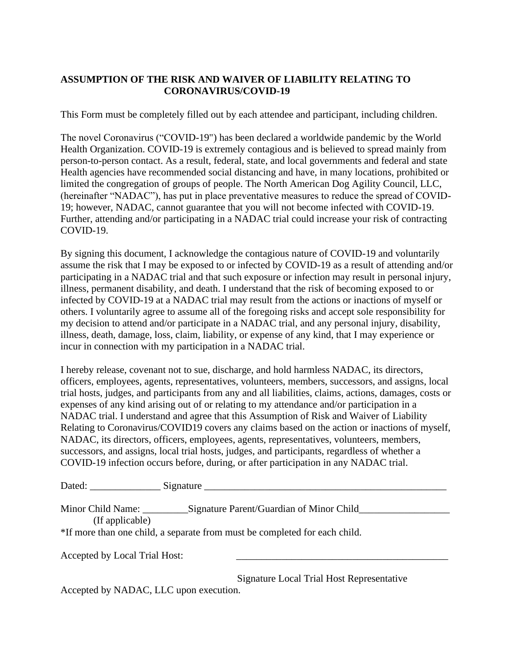# **ASSUMPTION OF THE RISK AND WAIVER OF LIABILITY RELATING TO CORONAVIRUS/COVID-19**

This Form must be completely filled out by each attendee and participant, including children.

The novel Coronavirus ("COVID-19") has been declared a worldwide pandemic by the World Health Organization. COVID-19 is extremely contagious and is believed to spread mainly from person-to-person contact. As a result, federal, state, and local governments and federal and state Health agencies have recommended social distancing and have, in many locations, prohibited or limited the congregation of groups of people. The North American Dog Agility Council, LLC, (hereinafter "NADAC"), has put in place preventative measures to reduce the spread of COVID-19; however, NADAC, cannot guarantee that you will not become infected with COVID-19. Further, attending and/or participating in a NADAC trial could increase your risk of contracting COVID-19.

By signing this document, I acknowledge the contagious nature of COVID-19 and voluntarily assume the risk that I may be exposed to or infected by COVID-19 as a result of attending and/or participating in a NADAC trial and that such exposure or infection may result in personal injury, illness, permanent disability, and death. I understand that the risk of becoming exposed to or infected by COVID-19 at a NADAC trial may result from the actions or inactions of myself or others. I voluntarily agree to assume all of the foregoing risks and accept sole responsibility for my decision to attend and/or participate in a NADAC trial, and any personal injury, disability, illness, death, damage, loss, claim, liability, or expense of any kind, that I may experience or incur in connection with my participation in a NADAC trial.

I hereby release, covenant not to sue, discharge, and hold harmless NADAC, its directors, officers, employees, agents, representatives, volunteers, members, successors, and assigns, local trial hosts, judges, and participants from any and all liabilities, claims, actions, damages, costs or expenses of any kind arising out of or relating to my attendance and/or participation in a NADAC trial. I understand and agree that this Assumption of Risk and Waiver of Liability Relating to Coronavirus/COVID19 covers any claims based on the action or inactions of myself, NADAC, its directors, officers, employees, agents, representatives, volunteers, members, successors, and assigns, local trial hosts, judges, and participants, regardless of whether a COVID-19 infection occurs before, during, or after participation in any NADAC trial.

| Dated: | $\sim$<br>nature!<br>עור |
|--------|--------------------------|
|        |                          |

| Minor Child Name: | Signature Parent/Guardian of Minor Child                                   |  |
|-------------------|----------------------------------------------------------------------------|--|
| (If applicable)   |                                                                            |  |
|                   | *If more than one child, a separate from must be completed for each child. |  |

Accepted by Local Trial Host:

 Signature Local Trial Host Representative Accepted by NADAC, LLC upon execution.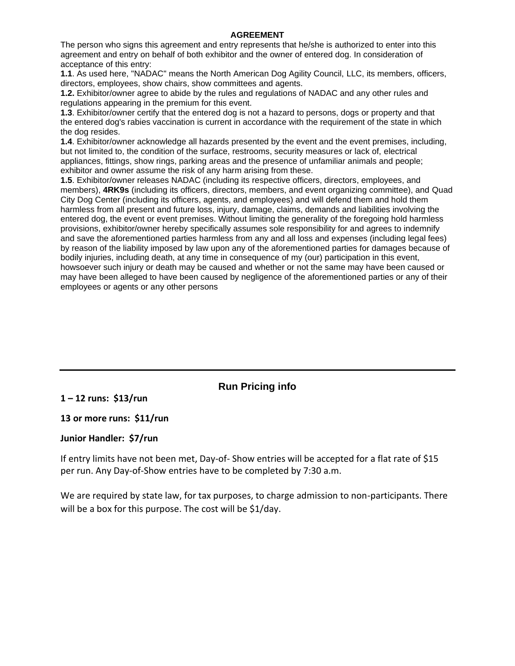#### **AGREEMENT**

The person who signs this agreement and entry represents that he/she is authorized to enter into this agreement and entry on behalf of both exhibitor and the owner of entered dog. In consideration of acceptance of this entry:

**1.1**. As used here, "NADAC" means the North American Dog Agility Council, LLC, its members, officers, directors, employees, show chairs, show committees and agents.

**1.2.** Exhibitor/owner agree to abide by the rules and regulations of NADAC and any other rules and regulations appearing in the premium for this event.

**1.3**. Exhibitor/owner certify that the entered dog is not a hazard to persons, dogs or property and that the entered dog's rabies vaccination is current in accordance with the requirement of the state in which the dog resides.

**1.4**. Exhibitor/owner acknowledge all hazards presented by the event and the event premises, including, but not limited to, the condition of the surface, restrooms, security measures or lack of, electrical appliances, fittings, show rings, parking areas and the presence of unfamiliar animals and people; exhibitor and owner assume the risk of any harm arising from these.

**1.5**. Exhibitor/owner releases NADAC (including its respective officers, directors, employees, and members), **4RK9s** (including its officers, directors, members, and event organizing committee), and Quad City Dog Center (including its officers, agents, and employees) and will defend them and hold them harmless from all present and future loss, injury, damage, claims, demands and liabilities involving the entered dog, the event or event premises. Without limiting the generality of the foregoing hold harmless provisions, exhibitor/owner hereby specifically assumes sole responsibility for and agrees to indemnify and save the aforementioned parties harmless from any and all loss and expenses (including legal fees) by reason of the liability imposed by law upon any of the aforementioned parties for damages because of bodily injuries, including death, at any time in consequence of my (our) participation in this event, howsoever such injury or death may be caused and whether or not the same may have been caused or may have been alleged to have been caused by negligence of the aforementioned parties or any of their employees or agents or any other persons

# **Run Pricing info**

**1 – 12 runs: \$13/run**

#### **13 or more runs: \$11/run**

#### **Junior Handler: \$7/run**

If entry limits have not been met, Day-of- Show entries will be accepted for a flat rate of \$15 per run. Any Day-of-Show entries have to be completed by 7:30 a.m.

We are required by state law, for tax purposes, to charge admission to non-participants. There will be a box for this purpose. The cost will be \$1/day.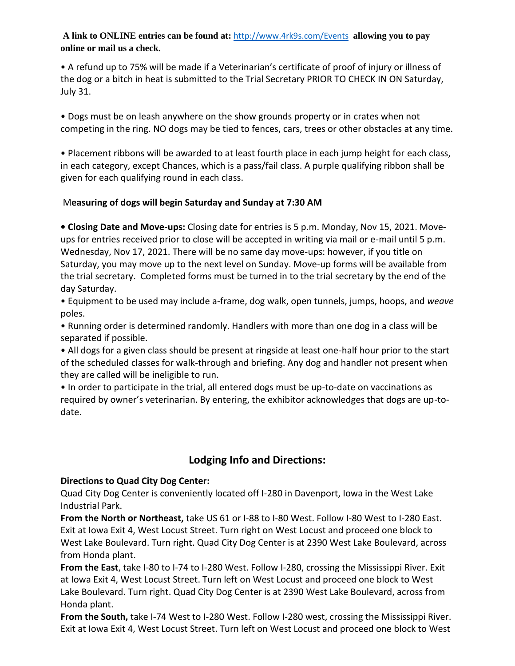### **A link to ONLINE entries can be found at:** <http://www.4rk9s.com/Events> **allowing you to pay online or mail us a check.**

• A refund up to 75% will be made if a Veterinarian's certificate of proof of injury or illness of the dog or a bitch in heat is submitted to the Trial Secretary PRIOR TO CHECK IN ON Saturday, July 31.

• Dogs must be on leash anywhere on the show grounds property or in crates when not competing in the ring. NO dogs may be tied to fences, cars, trees or other obstacles at any time.

• Placement ribbons will be awarded to at least fourth place in each jump height for each class, in each category, except Chances, which is a pass/fail class. A purple qualifying ribbon shall be given for each qualifying round in each class.

# M**easuring of dogs will begin Saturday and Sunday at 7:30 AM**

**• Closing Date and Move-ups:** Closing date for entries is 5 p.m. Monday, Nov 15, 2021. Moveups for entries received prior to close will be accepted in writing via mail or e-mail until 5 p.m. Wednesday, Nov 17, 2021. There will be no same day move-ups: however, if you title on Saturday, you may move up to the next level on Sunday. Move-up forms will be available from the trial secretary. Completed forms must be turned in to the trial secretary by the end of the day Saturday.

• Equipment to be used may include a-frame, dog walk, open tunnels, jumps, hoops, and *weave* poles.

• Running order is determined randomly. Handlers with more than one dog in a class will be separated if possible.

• All dogs for a given class should be present at ringside at least one-half hour prior to the start of the scheduled classes for walk-through and briefing. Any dog and handler not present when they are called will be ineligible to run.

• In order to participate in the trial, all entered dogs must be up-to-date on vaccinations as required by owner's veterinarian. By entering, the exhibitor acknowledges that dogs are up-todate.

# **Lodging Info and Directions:**

# **Directions to Quad City Dog Center:**

Quad City Dog Center is conveniently located off I-280 in Davenport, Iowa in the West Lake Industrial Park.

**From the North or Northeast,** take US 61 or I-88 to I-80 West. Follow I-80 West to I-280 East. Exit at Iowa Exit 4, West Locust Street. Turn right on West Locust and proceed one block to West Lake Boulevard. Turn right. Quad City Dog Center is at 2390 West Lake Boulevard, across from Honda plant.

**From the East**, take I-80 to I-74 to I-280 West. Follow I-280, crossing the Mississippi River. Exit at Iowa Exit 4, West Locust Street. Turn left on West Locust and proceed one block to West Lake Boulevard. Turn right. Quad City Dog Center is at 2390 West Lake Boulevard, across from Honda plant.

**From the South,** take I-74 West to I-280 West. Follow I-280 west, crossing the Mississippi River. Exit at Iowa Exit 4, West Locust Street. Turn left on West Locust and proceed one block to West